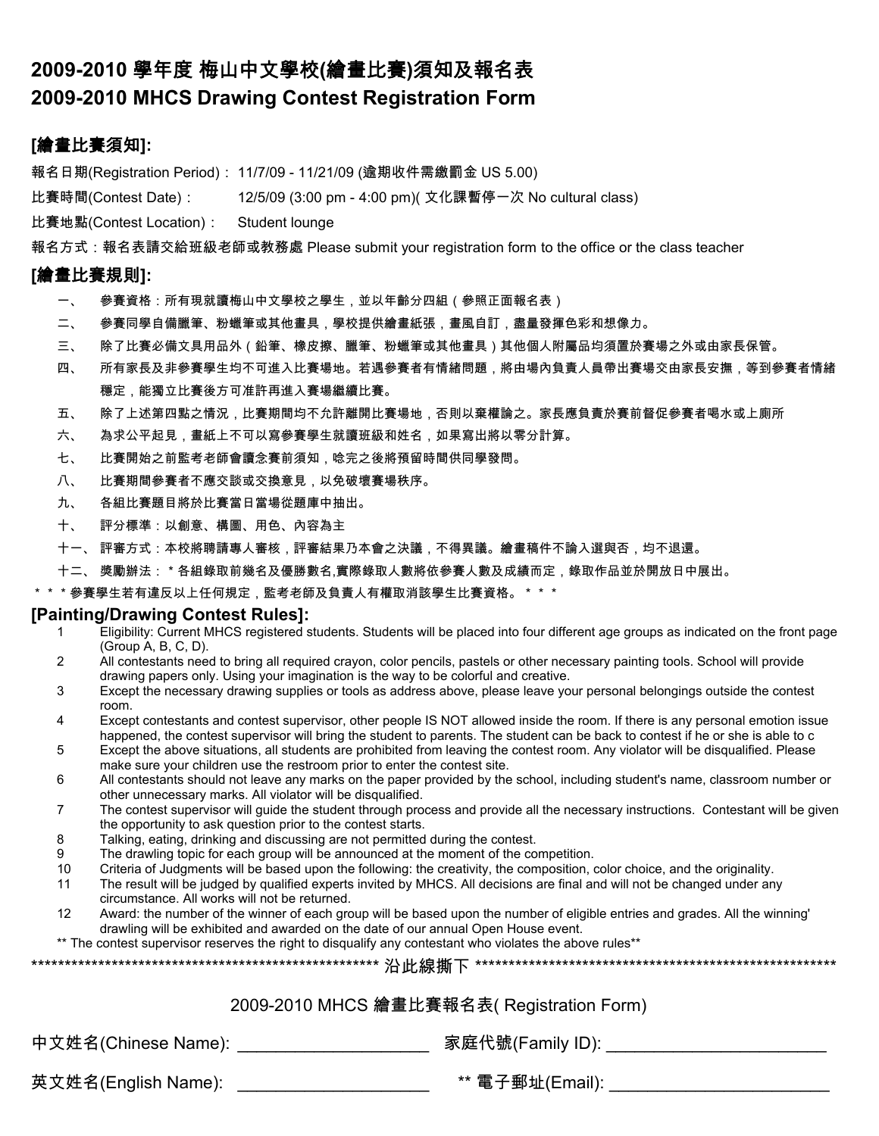# **2009-2010** 學年度 梅山中文學校**(**繪畫比賽**)**須知及報名表 **2009-2010 MHCS Drawing Contest Registration Form**

## **[**繪畫比賽須知**]:**

報名日期(Registration Period): 11/7/09 - 11/21/09 (逾期收件需繳罰金 US 5.00)

比賽時間(Contest Date) : 12/5/09 (3:00 pm - 4:00 pm)( 文化課暫停一次 No cultural class)

比賽地點(Contest Location): Student lounge

報名方式:報名表請交給班級老師或教務處 Please submit your registration form to the office or the class teacher

### **[**繪畫比賽規則**]:**

- 一、 參賽資格:所有現就讀梅山中文學校之學生,並以年齡分四組(參照正面報名表)
- 二、 參賽同學自備臘筆、粉蠟筆或其他畫具,學校提供繪畫紙張,畫風自訂,盡量發揮色彩和想像力。
- 三、 除了比賽必備文具用品外(鉛筆、橡皮擦、臘筆、粉蠟筆或其他畫具)其他個人附屬品均須置於賽場之外或由家長保管。
- 四、 所有家長及非參賽學生均不可進入比賽場地。若遇參賽者有情緒問題,將由場內負責人員帶出賽場交由家長安撫,等到參賽者情緒 穩定,能獨立比賽後方可准許再進入賽場繼續比賽。
- 五、 除了上述第四點之情況,比賽期間均不允許離開比賽場地,否則以棄權論之。家長應負責於賽前督促參賽者喝水或上廁所
- 六、 為求公平起見,畫紙上不可以寫參賽學生就讀班級和姓名,如果寫出將以零分計算。
- 七、 比賽開始之前監考老師會讀念賽前須知,唸完之後將預留時間供同學發問。
- 八、 比賽期間參賽者不應交談或交換意見,以免破壞賽場秩序。
- 九、 各組比賽題目將於比賽當日當場從題庫中抽出。
- 十、 評分標準:以創意、構圖、用色、內容為主
- 十一、 評審方式:本校將聘請專人審核,評審結果乃本會之決議,不得異議。繪畫稿件不論入選與否,均不退還。
- 十二、 獎勵辦法: \* 各組錄取前幾名及優勝數名,實際錄取人數將依參賽人數及成績而定,錄取作品並於開放日中展出。
- \*\*\*參賽學生若有違反以上任何規定,監考老師及負責人有權取消該學生比賽資格。\*\*\*

#### **[Painting/Drawing Contest Rules]:**

- 1 Eligibility: Current MHCS registered students. Students will be placed into four different age groups as indicated on the front page (Group A, B, C, D).
- 2 All contestants need to bring all required crayon, color pencils, pastels or other necessary painting tools. School will provide drawing papers only. Using your imagination is the way to be colorful and creative.
- 3 Except the necessary drawing supplies or tools as address above, please leave your personal belongings outside the contest room.
- 4 Except contestants and contest supervisor, other people IS NOT allowed inside the room. If there is any personal emotion issue happened, the contest supervisor will bring the student to parents. The student can be back to contest if he or she is able to c
- 5 Except the above situations, all students are prohibited from leaving the contest room. Any violator will be disqualified. Please make sure your children use the restroom prior to enter the contest site.
- 6 All contestants should not leave any marks on the paper provided by the school, including student's name, classroom number or other unnecessary marks. All violator will be disqualified.
- 7 The contest supervisor will guide the student through process and provide all the necessary instructions. Contestant will be given the opportunity to ask question prior to the contest starts.
- 8 Talking, eating, drinking and discussing are not permitted during the contest.
- 9 The drawling topic for each group will be announced at the moment of the competition.
- 10 Criteria of Judgments will be based upon the following: the creativity, the composition, color choice, and the originality.<br>11 The result will be iudged by qualified experts invited by MHCS. All decisions are final and
- The result will be judged by qualified experts invited by MHCS. All decisions are final and will not be changed under any circumstance. All works will not be returned.
- 12 Award: the number of the winner of each group will be based upon the number of eligible entries and grades. All the winning' drawling will be exhibited and awarded on the date of our annual Open House event.

\*\* The contest supervisor reserves the right to disqualify any contestant who violates the above rules\*\*

|--|--|--|

#### 2009-2010 MHCS 繪畫比賽報名表( Registration Form)

中文姓名(Chinese Name): \_\_\_\_\_\_\_\_\_\_\_\_\_\_\_\_\_\_\_\_\_\_\_\_\_\_ 家庭代號(Family ID): \_\_\_\_\_\_\_\_\_\_\_\_\_\_\_\_

英文姓名(English Name): \_\_\_\_\_\_\_\_\_\_\_\_\_\_\_\_\_\_\_\_\_\_\_\_ \*\* 電子郵址(Email): \_\_\_\_\_\_\_\_\_\_\_\_\_\_\_\_\_\_